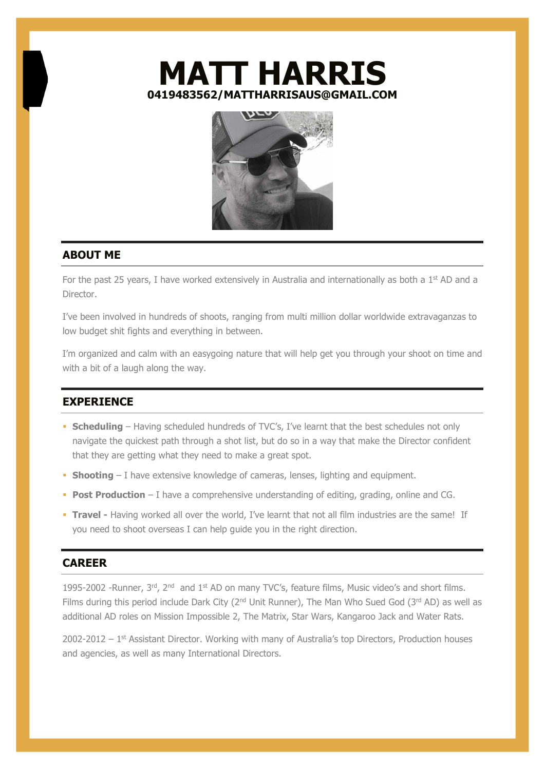## MATT HARRIS 0419483562/MATTHARRISAUS@GMAIL.COM



## ABOUT ME

For the past 25 years, I have worked extensively in Australia and internationally as both a  $1<sup>st</sup>$  AD and a Director.

I've been involved in hundreds of shoots, ranging from multi million dollar worldwide extravaganzas to low budget shit fights and everything in between.

I'm organized and calm with an easygoing nature that will help get you through your shoot on time and with a bit of a laugh along the way.

## **EXPERIENCE**

- **Scheduling** Having scheduled hundreds of TVC's, I've learnt that the best schedules not only navigate the quickest path through a shot list, but do so in a way that make the Director confident that they are getting what they need to make a great spot.
- Shooting I have extensive knowledge of cameras, lenses, lighting and equipment.
- **Post Production** I have a comprehensive understanding of editing, grading, online and CG.
- **Travel -** Having worked all over the world, I've learnt that not all film industries are the same! If you need to shoot overseas I can help guide you in the right direction.

## **CARFFR**

1995-2002 -Runner,  $3<sup>rd</sup>$ ,  $2<sup>nd</sup>$  and  $1<sup>st</sup>$  AD on many TVC's, feature films, Music video's and short films. Films during this period include Dark City (2<sup>nd</sup> Unit Runner), The Man Who Sued God (3<sup>rd</sup> AD) as well as additional AD roles on Mission Impossible 2, The Matrix, Star Wars, Kangaroo Jack and Water Rats.

 $2002-2012 - 1$ <sup>st</sup> Assistant Director. Working with many of Australia's top Directors, Production houses and agencies, as well as many International Directors.